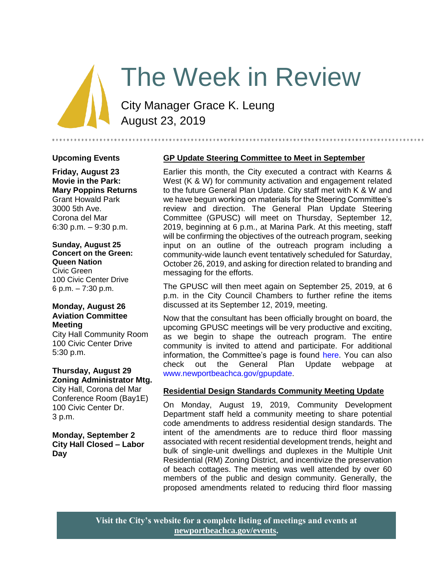# The Week in Review

City Manager Grace K. Leung August 23, 2019

#### **Upcoming Events**

**Friday, August 23 Movie in the Park: Mary Poppins Returns** Grant Howald Park 3000 5th Ave. Corona del Mar 6:30 p.m. – 9:30 p.m.

# **Sunday, August 25**

**Concert on the Green: Queen Nation** Civic Green 100 Civic Center Drive 6 p.m. – 7:30 p.m.

#### **Monday, August 26 Aviation Committee Meeting**

City Hall Community Room 100 Civic Center Drive 5:30 p.m.

#### **Thursday, August 29 Zoning Administrator Mtg.**

City Hall, Corona del Mar Conference Room (Bay1E) 100 Civic Center Dr. 3 p.m.

**Monday, September 2 City Hall Closed – Labor Day**

### **GP Update Steering Committee to Meet in September**

Earlier this month, the City executed a contract with Kearns & West (K & W) for community activation and engagement related to the future General Plan Update. City staff met with K & W and we have begun working on materials for the Steering Committee's review and direction. The General Plan Update Steering Committee (GPUSC) will meet on Thursday, September 12, 2019, beginning at 6 p.m., at Marina Park. At this meeting, staff will be confirming the objectives of the outreach program, seeking input on an outline of the outreach program including a community-wide launch event tentatively scheduled for Saturday, October 26, 2019, and asking for direction related to branding and messaging for the efforts.

The GPUSC will then meet again on September 25, 2019, at 6 p.m. in the City Council Chambers to further refine the items discussed at its September 12, 2019, meeting.

Now that the consultant has been officially brought on board, the upcoming GPUSC meetings will be very productive and exciting, as we begin to shape the outreach program. The entire community is invited to attend and participate. For additional information, the Committee's page is found [here.](https://www.newportbeachca.gov/government/departments/community-development/planning-division/general-plan-codes-and-regulations/general-plan-update/general-plan-update-steering-committee) You can also check out the General Plan Update webpage at [www.newportbeachca.gov/gpupdate.](http://www.newportbeachca.gov/gpupdate)

### **Residential Design Standards Community Meeting Update**

On Monday, August 19, 2019, Community Development Department staff held a community meeting to share potential code amendments to address residential design standards. The intent of the amendments are to reduce third floor massing associated with recent residential development trends, height and bulk of single-unit dwellings and duplexes in the Multiple Unit Residential (RM) Zoning District, and incentivize the preservation of beach cottages. The meeting was well attended by over 60 members of the public and design community. Generally, the proposed amendments related to reducing third floor massing

**Visit the City's website for a complete listing of meetings and events at [newportbeachca.gov/events.](https://www.newportbeachca.gov/government/open-government/city-calendar)**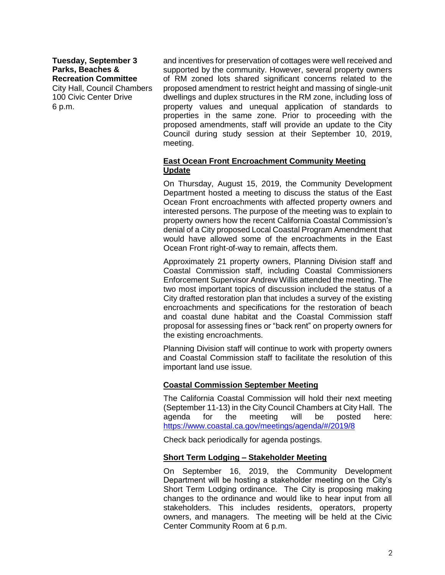**Tuesday, September 3 Parks, Beaches & Recreation Committee**

City Hall, Council Chambers 100 Civic Center Drive 6 p.m.

and incentives for preservation of cottages were well received and supported by the community. However, several property owners of RM zoned lots shared significant concerns related to the proposed amendment to restrict height and massing of single-unit dwellings and duplex structures in the RM zone, including loss of property values and unequal application of standards to properties in the same zone. Prior to proceeding with the proposed amendments, staff will provide an update to the City Council during study session at their September 10, 2019, meeting.

#### **East Ocean Front Encroachment Community Meeting Update**

On Thursday, August 15, 2019, the Community Development Department hosted a meeting to discuss the status of the East Ocean Front encroachments with affected property owners and interested persons. The purpose of the meeting was to explain to property owners how the recent California Coastal Commission's denial of a City proposed Local Coastal Program Amendment that would have allowed some of the encroachments in the East Ocean Front right-of-way to remain, affects them.

Approximately 21 property owners, Planning Division staff and Coastal Commission staff, including Coastal Commissioners Enforcement Supervisor Andrew Willis attended the meeting. The two most important topics of discussion included the status of a City drafted restoration plan that includes a survey of the existing encroachments and specifications for the restoration of beach and coastal dune habitat and the Coastal Commission staff proposal for assessing fines or "back rent" on property owners for the existing encroachments.

Planning Division staff will continue to work with property owners and Coastal Commission staff to facilitate the resolution of this important land use issue.

### **Coastal Commission September Meeting**

The California Coastal Commission will hold their next meeting (September 11-13) in the City Council Chambers at City Hall. The agenda for the meeting will be posted here: <https://www.coastal.ca.gov/meetings/agenda/#/2019/8>

Check back periodically for agenda postings.

### **Short Term Lodging – Stakeholder Meeting**

On September 16, 2019, the Community Development Department will be hosting a stakeholder meeting on the City's Short Term Lodging ordinance. The City is proposing making changes to the ordinance and would like to hear input from all stakeholders. This includes residents, operators, property owners, and managers. The meeting will be held at the Civic Center Community Room at 6 p.m.